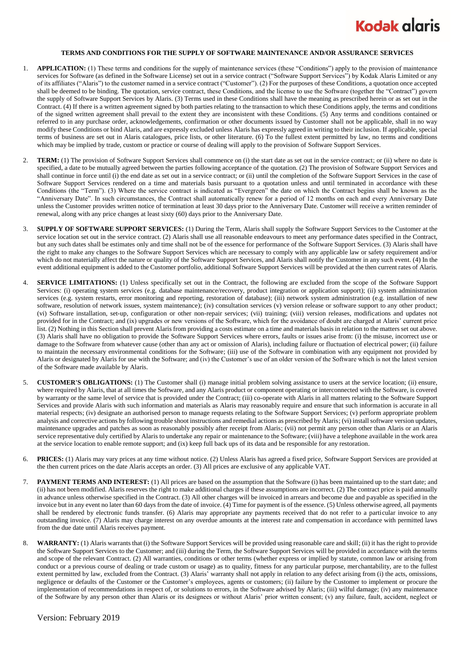

## **TERMS AND CONDITIONS FOR THE SUPPLY OF SOFTWARE MAINTENANCE AND/OR ASSURANCE SERVICES**

- 1. **APPLICATION:** (1) These terms and conditions for the supply of maintenance services (these "Conditions") apply to the provision of maintenance services for Software (as defined in the Software License) set out in a service contract ("Software Support Services") by Kodak Alaris Limited or any of its affiliates ("Alaris") to the customer named in a service contract ("Customer"). (2) For the purposes of these Conditions, a quotation once accepted shall be deemed to be binding. The quotation, service contract, these Conditions, and the license to use the Software (together the "Contract") govern the supply of Software Support Services by Alaris. (3) Terms used in these Conditions shall have the meaning as prescribed herein or as set out in the Contract. (4) If there is a written agreement signed by both parties relating to the transaction to which these Conditions apply, the terms and conditions of the signed written agreement shall prevail to the extent they are inconsistent with these Conditions. (5) Any terms and conditions contained or referred to in any purchase order, acknowledgements, confirmation or other documents issued by Customer shall not be applicable, shall in no way modify these Conditions or bind Alaris, and are expressly excluded unless Alaris has expressly agreed in writing to their inclusion. If applicable, special terms of business are set out in Alaris catalogues, price lists, or other literature. (6) To the fullest extent permitted by law, no terms and conditions which may be implied by trade, custom or practice or course of dealing will apply to the provision of Software Support Services.
- 2. **TERM:** (1) The provision of Software Support Services shall commence on (i) the start date as set out in the service contract; or (ii) where no date is specified, a date to be mutually agreed between the parties following acceptance of the quotation. (2) The provision of Software Support Services and shall continue in force until (i) the end date as set out in a service contract; or (ii) until the completion of the Software Support Services in the case of Software Support Services rendered on a time and materials basis pursuant to a quotation unless and until terminated in accordance with these Conditions (the "Term"). (3) Where the service contract is indicated as "Evergreen" the date on which the Contract begins shall be known as the "Anniversary Date". In such circumstances, the Contract shall automatically renew for a period of 12 months on each and every Anniversary Date unless the Customer provides written notice of termination at least 30 days prior to the Anniversary Date. Customer will receive a written reminder of renewal, along with any price changes at least sixty (60) days prior to the Anniversary Date.
- 3. **SUPPLY OF SOFTWARE SUPPORT SERVICES:** (1) During the Term, Alaris shall supply the Software Support Services to the Customer at the service location set out in the service contract. (2) Alaris shall use all reasonable endeavours to meet any performance dates specified in the Contract, but any such dates shall be estimates only and time shall not be of the essence for performance of the Software Support Services. (3) Alaris shall have the right to make any changes to the Software Support Services which are necessary to comply with any applicable law or safety requirement and/or which do not materially affect the nature or quality of the Software Support Services, and Alaris shall notify the Customer in any such event. (4) In the event additional equipment is added to the Customer portfolio, additional Software Support Services will be provided at the then current rates of Alaris.
- 4. **SERVICE LIMITATIONS:** (1) Unless specifically set out in the Contract, the following are excluded from the scope of the Software Support Services: (i) operating system services (e.g. database maintenance/recovery, product integration or application support); (ii) system administration services (e.g. system restarts, error monitoring and reporting, restoration of database); (iii) network system administration (e.g. installation of new software, resolution of network issues, system maintenance); (iv) consultation services (v) version release or software support to any other product; (vi) Software installation, set-up, configuration or other non-repair services; (vii) training; (viii) version releases, modifications and updates not provided for in the Contract; and (ix) upgrades or new versions of the Software, which for the avoidance of doubt are charged at Alaris' current price list. (2) Nothing in this Section shall prevent Alaris from providing a costs estimate on a time and materials basis in relation to the matters set out above. (3) Alaris shall have no obligation to provide the Software Support Services where errors, faults or issues arise from: (i) the misuse, incorrect use or damage to the Software from whatever cause (other than any act or omission of Alaris), including failure or fluctuation of electrical power; (ii) failure to maintain the necessary environmental conditions for the Software; (iii) use of the Software in combination with any equipment not provided by Alaris or designated by Alaris for use with the Software; and (iv) the Customer's use of an older version of the Software which is not the latest version of the Software made available by Alaris.
- 5. **CUSTOMER'S OBLIGATIONS:** (1) The Customer shall (i) manage initial problem solving assistance to users at the service location; (ii) ensure, where required by Alaris, that at all times the Software, and any Alaris product or component operating or interconnected with the Software, is covered by warranty or the same level of service that is provided under the Contract; (iii) co-operate with Alaris in all matters relating to the Software Support Services and provide Alaris with such information and materials as Alaris may reasonably require and ensure that such information is accurate in all material respects; (iv) designate an authorised person to manage requests relating to the Software Support Services; (v) perform appropriate problem analysis and corrective actions by following trouble shoot instructions and remedial actions as prescribed by Alaris; (vi) install software version updates, maintenance upgrades and patches as soon as reasonably possibly after receipt from Alaris; (vii) not permit any person other than Alaris or an Alaris service representative duly certified by Alaris to undertake any repair or maintenance to the Software; (viii) have a telephone available in the work area at the service location to enable remote support; and (ix) keep full back ups of its data and be responsible for any restoration.
- 6. **PRICES:** (1) Alaris may vary prices at any time without notice. (2) Unless Alaris has agreed a fixed price, Software Support Services are provided at the then current prices on the date Alaris accepts an order. (3) All prices are exclusive of any applicable VAT.
- 7. **PAYMENT TERMS AND INTEREST:** (1) All prices are based on the assumption that the Software (i) has been maintained up to the start date; and (ii) has not been modified. Alaris reserves the right to make additional charges if these assumptions are incorrect. (2) The contract price is paid annually in advance unless otherwise specified in the Contract. (3) All other charges will be invoiced in arrears and become due and payable as specified in the invoice but in any event no later than 60 days from the date of invoice. (4) Time for payment is of the essence. (5) Unless otherwise agreed, all payments shall be rendered by electronic funds transfer. (6) Alaris may appropriate any payments received that do not refer to a particular invoice to any outstanding invoice. (7) Alaris may charge interest on any overdue amounts at the interest rate and compensation in accordance with permitted laws from the due date until Alaris receives payment.
- WARRANTY: (1) Alaris warrants that (i) the Software Support Services will be provided using reasonable care and skill; (ii) it has the right to provide the Software Support Services to the Customer; and (iii) during the Term, the Software Support Services will be provided in accordance with the terms and scope of the relevant Contract. (2) All warranties, conditions or other terms (whether express or implied by statute, common law or arising from conduct or a previous course of dealing or trade custom or usage) as to quality, fitness for any particular purpose, merchantability, are to the fullest extent permitted by law, excluded from the Contract. (3) Alaris' warranty shall not apply in relation to any defect arising from (i) the acts, omissions, negligence or defaults of the Customer or the Customer's employees, agents or customers; (ii) failure by the Customer to implement or procure the implementation of recommendations in respect of, or solutions to errors, in the Software advised by Alaris; (iii) wilful damage; (iv) any maintenance of the Software by any person other than Alaris or its designees or without Alaris' prior written consent; (v) any failure, fault, accident, neglect or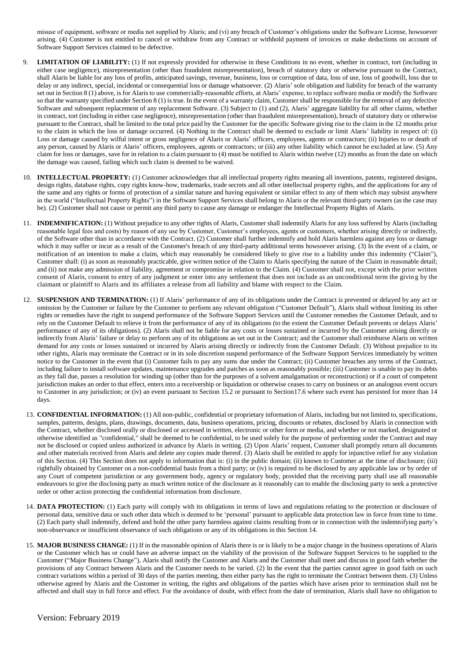misuse of equipment, software or media not supplied by Alaris; and (vi) any breach of Customer's obligations under the Software License, howsoever arising. (4) Customer is not entitled to cancel or withdraw from any Contract or withhold payment of invoices or make deductions on account of Software Support Services claimed to be defective.

- 9. **LIMITATION OF LIABILITY:** (1) If not expressly provided for otherwise in these Conditions in no event, whether in contract, tort (including in either case negligence), misrepresentation (other than fraudulent misrepresentation), breach of statutory duty or otherwise pursuant to the Contract, shall Alaris be liable for any loss of profits, anticipated savings, revenue, business, loss or corruption of data, loss of use, loss of goodwill, loss due to delay or any indirect, special, incidental or consequential loss or damage whatsoever. (2) Alaris' sole obligation and liability for breach of the warranty set out in Section 8 (1) above, is for Alaris to use commercially-reasonable efforts, at Alaris' expense, to replace software media or modify the Software so that the warranty specified under Section 8 (1) is true. In the event of a warranty claim, Customer shall be responsible for the removal of any defective Software and subsequent replacement of any replacement Software. (3) Subject to (1) and (2), Alaris' aggregate liability for all other claims, whether in contract, tort (including in either case negligence), misrepresentation (other than fraudulent misrepresentation), breach of statutory duty or otherwise pursuant to the Contract, shall be limited to the total price paid by the Customer for the specific Software giving rise to the claim in the 12 months prior to the claim in which the loss or damage occurred. (4) Nothing in the Contract shall be deemed to exclude or limit Alaris' liability in respect of: (i) Loss or damage caused by wilful intent or gross negligence of Alaris or Alaris' officers, employees, agents or contractors; (ii) Injuries to or death of any person, caused by Alaris or Alaris' officers, employees, agents or contractors; or (iii) any other liability which cannot be excluded at law. (5) Any claim for loss or damages, save for in relation to a claim pursuant to (4) must be notified to Alaris within twelve (12) months as from the date on which the damage was caused, failing which such claim is deemed to be waived.
- 10. **INTELLECTUAL PROPERTY:** (1) Customer acknowledges that all intellectual property rights meaning all inventions, patents, registered designs, design rights, database rights, copy rights know-how, trademarks, trade secrets and all other intellectual property rights, and the applications for any of the same and any rights or forms of protection of a similar nature and having equivalent or similar effect to any of them which may subsist anywhere in the world ("Intellectual Property Rights") in the Software Support Services shall belong to Alaris or the relevant third-party owners (as the case may be). (2) Customer shall not cause or permit any third party to cause any damage or endanger the Intellectual Property Rights of Alaris.
- 11. **INDEMNIFICATION:** (1) Without prejudice to any other rights of Alaris, Customer shall indemnify Alaris for any loss suffered by Alaris (including reasonable legal fees and costs) by reason of any use by Customer, Customer's employees, agents or customers, whether arising directly or indirectly, of the Software other than in accordance with the Contract. (2) Customer shall further indemnify and hold Alaris harmless against any loss or damage which it may suffer or incur as a result of the Customer's breach of any third-party additional terms howsoever arising. (3) In the event of a claim, or notification of an intention to make a claim, which may reasonably be considered likely to give rise to a liability under this indemnity ("Claim"), Customer shall: (i) as soon as reasonably practicable, give written notice of the Claim to Alaris specifying the nature of the Claim in reasonable detail; and (ii) not make any admission of liability, agreement or compromise in relation to the Claim. (4) Customer shall not, except with the prior written consent of Alaris, consent to entry of any judgment or enter into any settlement that does not include as an unconditional term the givin g by the claimant or plaintiff to Alaris and its affiliates a release from all liability and blame with respect to the Claim.
- 12. **SUSPENSION AND TERMINATION:** (1) If Alaris' performance of any of its obligations under the Contract is prevented or delayed by any act or omission by the Customer or failure by the Customer to perform any relevant obligation ("Customer Default"), Alaris shall without limiting its other rights or remedies have the right to suspend performance of the Software Support Services until the Customer remedies the Customer Default, and to rely on the Customer Default to relieve it from the performance of any of its obligations (to the extent the Customer Default prevents or delays Alaris' performance of any of its obligations). (2) Alaris shall not be liable for any costs or losses sustained or incurred by the Customer arising directly or indirectly from Alaris' failure or delay to perform any of its obligations as set out in the Contract; and the Customer shall reimburse Alaris on written demand for any costs or losses sustained or incurred by Alaris arising directly or indirectly from the Customer Default. (3) Without prejudice to its other rights, Alaris may terminate the Contract or in its sole discretion suspend performance of the Software Support Services immediately by written notice to the Customer in the event that (i) Customer fails to pay any sums due under the Contract; (ii) Customer breaches any terms of the Contract, including failure to install software updates, maintenance upgrades and patches as soon as reasonably possible; (iii) Customer is unable to pay its debts as they fall due, passes a resolution for winding up (other than for the purposes of a solvent amalgamation or reconstruction) or if a court of competent jurisdiction makes an order to that effect, enters into a receivership or liquidation or otherwise ceases to carry on business or an analogous event occurs to Customer in any jurisdiction; or (iv) an event pursuant to Section 15.2 or pursuant to Section 17.6 where such event has persisted for more than 14 days.
- 13. **CONFIDENTIAL INFORMATION:** (1) All non-public, confidential or proprietary information of Alaris, including but not limited to, specifications, samples, patterns, designs, plans, drawings, documents, data, business operations, pricing, discounts or rebates, disclosed by Alaris in connection with the Contract, whether disclosed orally or disclosed or accessed in written, electronic or other form or media, and whether or not marked, designated or otherwise identified as "confidential," shall be deemed to be confidential, to be used solely for the purpose of performing under the Contract and may not be disclosed or copied unless authorized in advance by Alaris in writing. (2) Upon Alaris' request, Customer shall promptly return all documents and other materials received from Alaris and delete any copies made thereof. (3) Alaris shall be entitled to apply for injunctive relief for any violation of this Section. (4) This Section does not apply to information that is: (i) in the public domain; (ii) known to Customer at the time of disclosure; (iii) rightfully obtained by Customer on a non-confidential basis from a third party; or (iv) is required to be disclosed by any applicable law or by order of any Court of competent jurisdiction or any government body, agency or regulatory body, provided that the receiving party shall use all reasonable endeavours to give the disclosing party as much written notice of the disclosure as it reasonably can to enable the disclosing party to seek a protective order or other action protecting the confidential information from disclosure.
- 14. **DATA PROTECTION:** (1) Each party will comply with its obligations in terms of laws and regulations relating to the protection or disclosure of personal data, sensitive data or such other data which is deemed to be 'personal' pursuant to applicable data protection law in force from time to time. (2) Each party shall indemnify, defend and hold the other party harmless against claims resulting from or in connection with the indemnifying party's non-observance or insufficient observance of such obligations or any of its obligations in this Section 14.
- 15. **MAJOR BUSINESS CHANGE:** (1) If in the reasonable opinion of Alaris there is or is likely to be a major change in the business operations of Alaris or the Customer which has or could have an adverse impact on the viability of the provision of the Software Support Services to be supplied to the Customer ("Major Business Change"), Alaris shall notify the Customer and Alaris and the Customer shall meet and discuss in good faith whether the provisions of any Contract between Alaris and the Customer needs to be varied. (2) In the event that the parties cannot agree in good faith on such contract variations within a period of 30 days of the parties meeting, then either party has the right to terminate the Contract between them. (3) Unless otherwise agreed by Alaris and the Customer in writing, the rights and obligations of the parties which have arisen prior to termination shall not be affected and shall stay in full force and effect. For the avoidance of doubt, with effect from the date of termination, Alaris shall have no obligation to